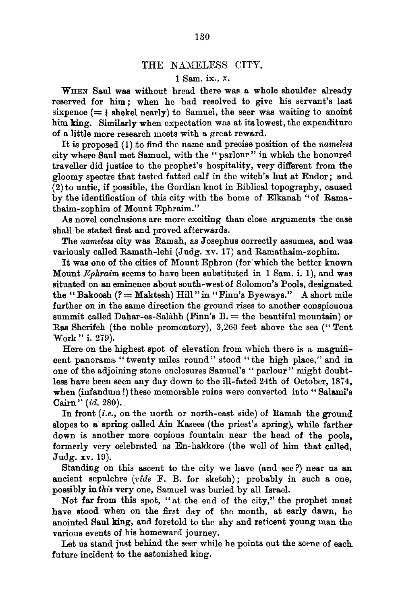## THE NAMELESS CITY.

## 1 Sam. ix., x.

WHEN Saul was without bread there was a whole shoulder already reserved for him; when he had resolved to give his servant's last sixpence  $(=$  shekel nearly) to Samuel, the seer was waiting to anoint him king. Similarly when expectation was at its lowest, the expenditure of a little more research meets with a great reward.

It is proposed (1) to find the name and precise position of the *nameless* city where Saul met Samuel, with the "parlour" in which the honoured traveller did justice to the prophet's hospitality, very different from the gloomy spectre that tasted fatted calf in the witch's hut at Endor; and (2) to untie, if possible, the Gordian knot in Biblical topography, caused by the identification of this city with the home of Elkanah "of Ramathaim-zophim of Mount Ephraim."

As novel conclusions are more exciting than close arguments the case shall be stated first and proved afterwards.

The *nameless* city was Ramah, as Josephus correctly assumes, and was variously called Ramath-lehi (Judg. xv. 17) and Ramathaim-zophim.

It was one of the cities of Mount Ephron (for which the better known Mount *EpJ.raim* seems to have been substituted in 1 Sam. i. 1), and was situated on an eminence about south-west of Solomon's Pools, designated the "Bakoosh  $(? = \text{Maktesh})$  Hill " in "Finn's Byeways." A short mile further on in the same direction the ground rises to another conspicuoua summit called Dahar-es-Salàhh (Finn's  $B =$  the beautiful mountain) or Ras Sherifeh (the noble promontory), 3,260 feet above the sea ("Tent Work" i. 279).

Here on the highest spot of elevation from which there is a magnificent panorama "twenty miles round" stood "the high place," and in one of the adjoining stone enclosures Samuel's "parlour" might doubtless have been seen any day down to the ill-fated 24th of October, 1874, when (infandum!) these memorable ruins were converted into "Salami's Cairn" (id. 280).

In front *(i.e.,* on the north or north-east side) of Ramah the ground slopes to a spring called Ain Kasees (the priest's spring), while farther down is another more copious fountain near the head of the pools, formerly very celebrated as En-hakkore (the well of him that called, Judg. xv. 19).

Standing on this ascent to the city we have (and see?) near us an ancient sepulchre *(vide* F. B. for sketch); probably in such a one, possibly in *this* very one, Samuel was buried by all Israel.

Not far from this spot, "at the end of the city," the prophet must have stood when on the first day of the month, at early dawn, he anointed Saul king, and foretold to the shy and reticent young man the various events of his homeward journey.

Let us stand just behind the seer while he points out the scene of each. future incident to the astonished king.